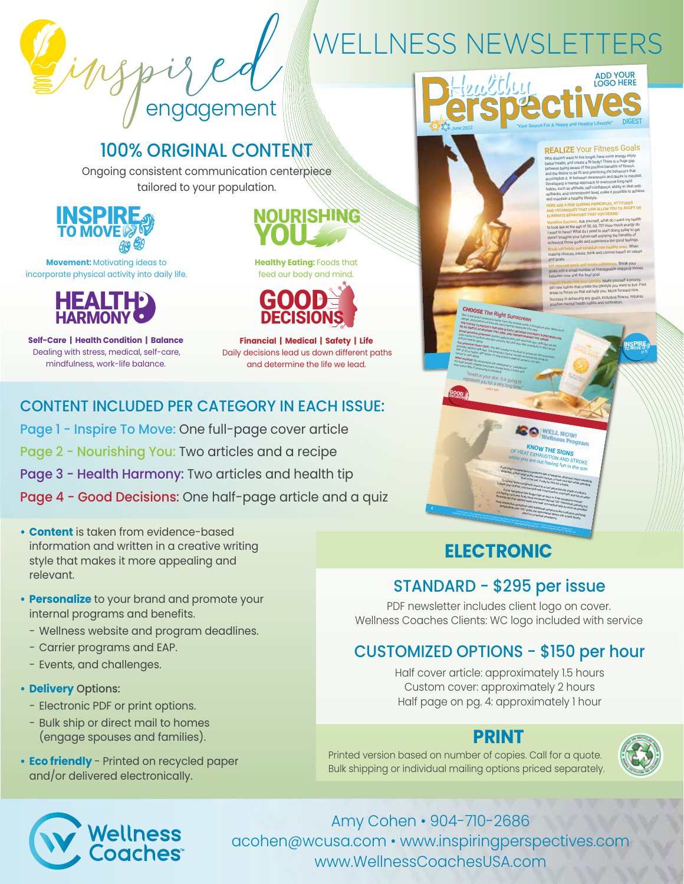engagement

# WELLNESS NEWSLETTERS

# 100% ORIGINAL CONTENT

Ongoing consistent communication centerpiece tailored to your population.



**Movement:** Motivating ideas to incorporate physical activity into daily life.



**Self-Care | Health Condition | Balance** Dealing with stress, medical, self-care, mindfulness, work-life balance.

YOU NOURISHING

**Healthy Eating:** Foods that feed our body and mind.



**Financial | Medical | Safety | Life** Daily decisions lead us down different paths and determine the life we lead.

## CONTENT INCLUDED PER CATEGORY IN EACH ISSUE:

- Page 1 Inspire To Move: One full-page cover article
- Page 2 Nourishing You: Two articles and a recipe
- Page 3 Health Harmony: Two articles and health tip
- Page 4 Good Decisions: One half-page article and a quiz
- **• Content** is taken from evidence-based information and written in a creative writing style that makes it more appealing and relevant.
- **• Personalize** to your brand and promote your internal programs and benefits.
	- Wellness website and program deadlines.
	- Carrier programs and EAP.
	- Events, and challenges.

### **• Delivery** Options:

- Electronic PDF or print options.
- Bulk ship or direct mail to homes (engage spouses and families).
- **• Eco friendly** Printed on recycled paper and/or delivered electronically.



### **REALIZE** Your Fitness Goals

Who doesn't want to live longer, have more energy, enjoy better health, and create a fit body? There is a huge gap between being aware of the positive benefits of fitness, and the desire to be fit and practicing the behaviors that accomplish it. In between awareness and desire is mindset. Developing a mental approach to overcome long-held habits, such as attitude, self-confidence, ability to deal with setbacks, and commitment level, make it possible to achieve and maintain a healthy lifestyle.

#### **HERE ARE A FEW GUIDING PRINCIPLES, ATTITUDES AND TECHNIQUES THAT CAN ALLOW YOU TO ADOPT OR ELIMINATE BEHAVIORS THAT YOU DESIRE:**

**Visualize Success.** Ask yourself, what do I want my health to look like at the age of 50, 60, 70? How much energy do I want to have? What do I need to start doing today to get there? Imagine your future-self enjoying the benefits of are coming those goals and experience the good feelings. **Break old habits and establish new healthy ones.** When making choices, pause, think and choose based on values

and goals. **Set concrete goals and create milestones.** Break your goals into a small number of manageable stepping-stones

between now and the final goal. **Ingrain Health into your identity.** Make yourself a priority. Set new habits that create the lifestyle you want to live. Find areas to focus on that will help you. Move forward now. ieving any goal positive mental health habits and motivation.

> TO MOVE INSPIRE

#### higher. Spir below 15 only protects accept with worker for the sunscreen and the Grill Indian Eastern Control of the Grill Indian Eastern Control of the Grill Indian Eastern Control of the Grill Indian Eastern Control of t  $B_{\text{B}}$  From  $B_{\text{B}}$   $B_{\text{B}}$  and  $B_{\text{B}}$  and  $B_{\text{B}}$  and  $B_{\text{B}}$  and  $B_{\text{B}}$  and  $B_{\text{B}}$  and  $B_{\text{B}}$  and  $B_{\text{B}}$  and  $B_{\text{B}}$  and  $B_{\text{B}}$  and  $B_{\text{B}}$  and  $B_{\text{B}}$  and  $B_{\text{B}}$  and  $B_{\text{B}}$  and *RAIR TERMS* **THE CHOICE TO PROTECT OUR SKINS IS CONSIDERATED** WORLD. II recognizes pain, alierts us.<br>**THE CHOICE TO PROTECT OUR SKIN IS EASY; DECIDING** (R/V) 1973:<br>The **S SHORT AS READING THE LABS: DECIDING THE RIGHT SURGERY OF RIGHT BE AS SIMPLE AS ROTECT OUR SKIN IS EMILY UNIVERSITE (UP) THE LABEL AND UNDERSTANDING (UP) THE LABEL AND UNDER**<br>**Broad apactrum profections The LABEL AND UNDERSTANDING THE RIGHT SURGE.**<br>Win chuse of surfauth and skin care. **Broad spectrum protection:** Press, LABRY, DRCDUNG THE RIGHT SURSCREEN (The UVA and UVA and UVA and UVA and UVA<br>The case of sundays are the UVA and UVA and UVA and UVB RAMINA THE TERMS.<br>The mass are the uvaluation and stri main cause of sunburn and strip can can will **UNDERSTANDING THE SUNSCREEN**<br>and premiative against and skin cancers, but OVA *rays also contribute to skin cancer*<br>was premiative agains:<br>condige adabing UVA rays are the SPF and pre-mature aging. **Sun protection factor (SPF):** The SPF numbers, but UVA rays also complete UVB rays are st<br>Protection **factor (SPF):** The American fist the level of protection to skin clinde<br>PF of 30 or high to SPF number is the sunscreen provides against UVB raps): The SPP ramber is the fewer contribute to skin<br>SPF of 50 or higher. SPF before the American Cancer society of protection the state<br>ancer or stin daying. SPF before 15 only protects against sunsh SPF of 30 or higher. SPF below 15 only protects against sunburn, not skin cancer or skin aging. **Water resistant:**  For best results, reapply sunscreens are least proof or "sineapprop"<br>"Yen more offer if swismining or sweating tevery 2 hours and<br>"" No sunscreens are waterproof or "sweatproof." even more often if swimming or sweating.

"Invest in your skin. It is going to represent you skin. It is going to *Linden Tyler*

**HOOSE** The Right St danger, and protects us from the sun's harmful ultraviolet (UV) respectively.<br>The choice To protects us from the sun's harmful ultraviolet (UV) recognitions of the sun of the sun of the sun<br>La As SIMPLE AS READING THE SKIN

O WELL NOW!

**OUR SKINS Infirmful ultraviolet (IV) repositions pain, elemb us of**<br>**OUR SKIN IS EASY: DECIDING THE INTAR-**<br>**THE LABEL AND: DECIDING THE INTAR-**

### **KNOW THE SIG**

If you begin to experience symptoms like a headache, dizziness, heavy sweating,<br>If editers, a fast/meak pixele, misicle of an headache, dizziness, heavy sweating,<br>To relievy sweating, While you are out having fun in the sun

tiredness, a fast/weakne symptoms like a headache, dizziness, heavy sweasing<br>- To relieve fastelle, muscle cramps, or have cool skin heavy sweasing<br>- To relieve these symptoms music while spending<br>sem your clust, symptoms, time in the sun, it may be time for a break.<br>Imptoms, mo<sub>re as</sub> To relieve these symptoms, move to a coup or notice cool sain while spend<br>The place clothes, cool yours, move to a cool place like the shade or indoors.<br>If your clothes, cool yourself with a well over low east the shade or Loosen your clothes, cool yourself with a we lame for a break.<br>Loosen your clothes, cool yourself with a well over the she share or indoors.<br>Le feeling confusions likes longer than a well cover or cool bath, and sip on wat

If your symptoms lawkreef with a wet howed like the shade or indo<br>If your symptoms last longer than an hour or if the symptoms word or indo<br>I's up) stop sipping walke and exceeds beyond 1 not is the symptoms worsen<br>-------(i.e feeling confused, biast longer than an housed or cool bisth and indoors.<br>Throwing up) stop signation with prices as beyond 11 the symptoms worked in the street<br>Well confused, body temp increases beyond 103° Fahrenheit throwing up) stop sipping water and seek out medical help as soon as post-<br>that exhibitation symptom water and seek out medical help as soon as possible<br>!Heat exhibitation symptom water and seek out medical help as soon as

#### Heat exhibition symptoms and search company indication symptoms like confusions of the symptoms like confusion<br>Hemperature over 103 shirts additional symptoms like to a soon as possibly<br>Herataure over 103 shirts and hold c temperature over 103° shifts the heat-related help as zoon as present<br>as more into a Heat-related immediate confusion and<br>might is a medical emergency, and a Heat Stroke,<br>stroke, and a Heat Stroke, which is a medical entered lines The interval of the interval of the information in the interval of the advice of the advice of your health care providers, and or a first publication is also any major changes in your health care providers, and a first pub

# medications, diet or exercise, talk to your doctor. Diet or exercise, talk to your doctor. ©2022 Inspiring Per<br>The Company inspiring Perspectives LLCC. www.inspiringperspectives.com • info@inspiringperspectives.com • 904<br>A

# **ELECTRONIC**

### STANDARD - \$295 per issue

PDF newsletter includes client logo on cover. Wellness Coaches Clients: WC logo included with service

# CUSTOMIZED OPTIONS - \$150 per hour

Half cover article: approximately 1.5 hours Custom cover: approximately 2 hours Half page on pg. 4: approximately 1 hour

## **PRINT**

Printed version based on number of copies. Call for a quote. Bulk shipping or individual mailing options priced separately.





Amy Cohen • 904-710-2686 acohen@wcusa.com • www.inspiringperspectives.com www.WellnessCoachesUSA.com

4

**DECISIONS** GOOD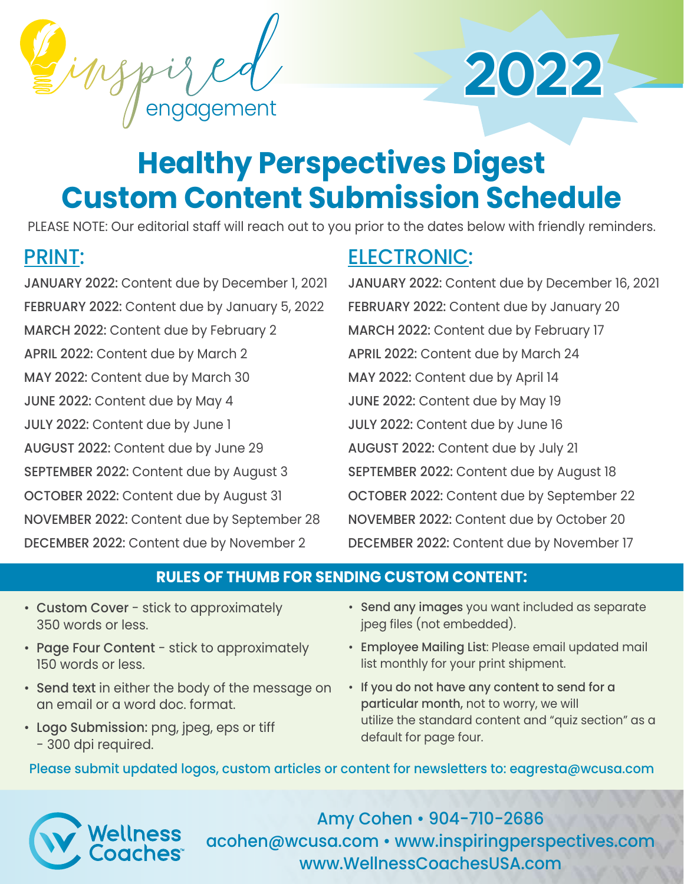



# **Healthy Perspectives Digest Custom Content Submission Schedule**

PLEASE NOTE: Our editorial staff will reach out to you prior to the dates below with friendly reminders.

# PRINT:

JANUARY 2022: Content due by December 1, 2021 FEBRUARY 2022: Content due by January 5, 2022 MARCH 2022: Content due by February 2 APRIL 2022: Content due by March 2 MAY 2022: Content due by March 30 JUNE 2022: Content due by May 4 JULY 2022: Content due by June 1 AUGUST 2022: Content due by June 29 SEPTEMBER 2022: Content due by August 3 OCTOBER 2022: Content due by August 31 NOVEMBER 2022: Content due by September 28 DECEMBER 2022: Content due by November 2

# ELECTRONIC:

JANUARY 2022: Content due by December 16, 2021 FEBRUARY 2022: Content due by January 20 MARCH 2022: Content due by February 17 APRIL 2022: Content due by March 24 MAY 2022: Content due by April 14 JUNE 2022: Content due by May 19 JULY 2022: Content due by June 16 AUGUST 2022: Content due by July 21 SEPTEMBER 2022: Content due by August 18 OCTOBER 2022: Content due by September 22 NOVEMBER 2022: Content due by October 20 DECEMBER 2022: Content due by November 17

## **RULES OF THUMB FOR SENDING CUSTOM CONTENT:**

- Custom Cover stick to approximately 350 words or less.
- Page Four Content stick to approximately 150 words or less.
- Send text in either the body of the message on an email or a word doc. format.
- Logo Submission: png, jpeg, eps or tiff - 300 dpi required.
- Send any images you want included as separate jpeg files (not embedded).
- Employee Mailing List: Please email updated mail list monthly for your print shipment.
- If you do not have any content to send for a particular month, not to worry, we will utilize the standard content and "quiz section" as a default for page four.

Please submit updated logos, custom articles or content for newsletters to: eagresta@wcusa.com



Amy Cohen • 904-710-2686 acohen@wcusa.com • www.inspiringperspectives.com www.WellnessCoachesUSA.com